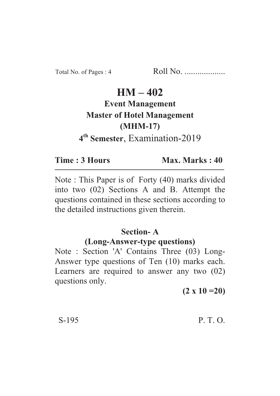# **HM – 402**

# **Event Management Master of Hotel Management (MHM-17) 4th Semester**, Examination-2019

**Time : 3 Hours Max. Marks : 40** 

Note : This Paper is of Forty (40) marks divided into two (02) Sections A and B. Attempt the questions contained in these sections according to the detailed instructions given therein.

### **Section- A**

#### **(Long-Answer-type questions)**

Note : Section 'A' Contains Three (03) Long-Answer type questions of Ten (10) marks each. Learners are required to answer any two (02) questions only.

**(2 x 10 =20)**

#### $S-195$  P. T. O.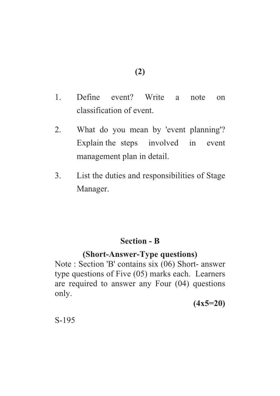**(2)**

- 1. Define event? Write a note on classification of event.
- 2. What do you mean by 'event planning'? Explain the steps involved in event management plan in detail.
- 3. List the duties and responsibilities of Stage Manager.

# **Section - B**

# **(Short-Answer-Type questions)**

Note : Section 'B' contains six (06) Short- answer type questions of Five (05) marks each. Learners are required to answer any Four (04) questions only.

**(4x5=20)**

S-195